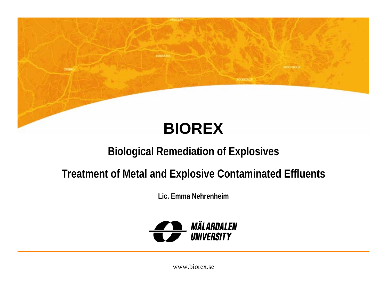

**ITOCHNOLI** 

**SODERTAL** 

**COURSES** 

**CHEFT** 

#### **Biological Remediation of Explosives**

#### **Treatment of Metal and Explosive Contaminated Effluents**

**Lic. Emma Nehrenheim**

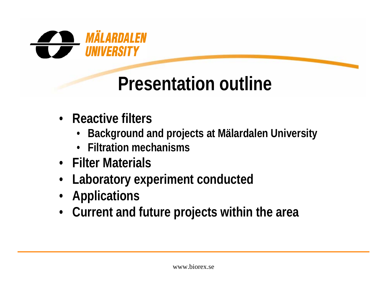

# **Presentation outline**

- **Reactive filters**
	- •**Background and projects at Mälardalen University**
	- **Filtration mechanisms**
- **Filter Materials**
- •**Laboratory experiment conducted**
- **Applications**
- **Current and future projects within the area**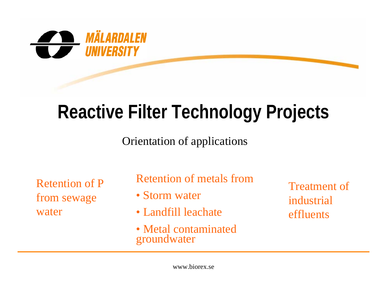

# **Reactive Filter Technology Projects**

Orientation of applications

Retention of P from sewage water

Retention of metals from

- Storm water
- Landfill leachate
- Metal contaminated groundwater

Treatment of industrial effluents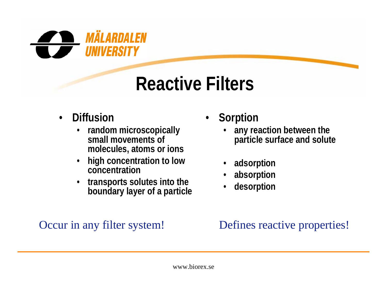

# **Reactive Filters**

- • **Diffusion**
	- • **random microscopically small movements of molecules, atoms or ions**
	- • **high concentration to low concentration**
	- • **transports solutes into the boundary layer of a particle**
- • **Sorption**
	- • **any reaction between the particle surface and solute**
	- •**adsorption**
	- •**absorption**
	- •**desorption**

#### Occur in any filter system! Defines reactive properties!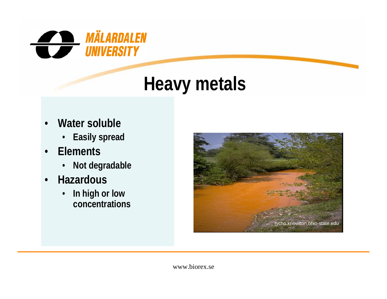

#### **Heavy metals**

- • **Water soluble**
	- **Easily spread**
- • **Elements**
	- •**Not degradable**
- • **Hazardous**
	- • **In high or low concentrations**

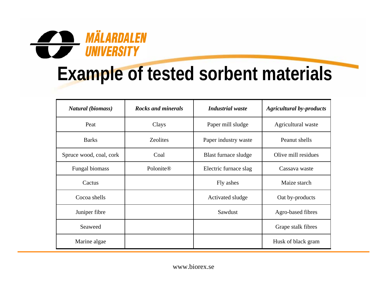

# **Example of tested sorbent materials**

| Natural (biomass)       | <b>Rocks and minerals</b> | <b>Industrial</b> waste | <b>Agricultural by-products</b> |
|-------------------------|---------------------------|-------------------------|---------------------------------|
| Peat                    | Clays                     | Paper mill sludge       | Agricultural waste              |
| <b>Barks</b>            | <b>Zeolites</b>           | Paper industry waste    | Peanut shells                   |
| Spruce wood, coal, cork | Coal                      | Blast furnace sludge    | Olive mill residues             |
| Fungal biomass          | Polonite®                 | Electric furnace slag   | Cassava waste                   |
| Cactus                  |                           | Fly ashes               | Maize starch                    |
| Cocoa shells            |                           | Activated sludge        | Oat by-products                 |
| Juniper fibre           |                           | Sawdust                 | Agro-based fibres               |
| Seaweed                 |                           |                         | Grape stalk fibres              |
| Marine algae            |                           |                         | Husk of black gram              |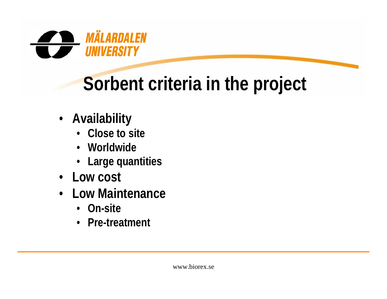

# **Sorbent criteria in the project**

- **Availability**
	- **Close to site**
	- **Worldwide**
	- **Large quantities**
- **Low cost**
- **Low Maintenance**
	- **On-site**
	- **Pre-treatment**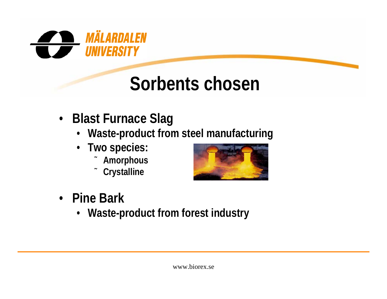

# **Sorbents chosen**

- **Blast Furnace Slag**
	- **Waste-product from steel manufacturing**
	- **Two species:**
		- ˜**Amorphous**
		- ˜**Crystalline**



- **Pine Bark**
	- **Waste-product from forest industry**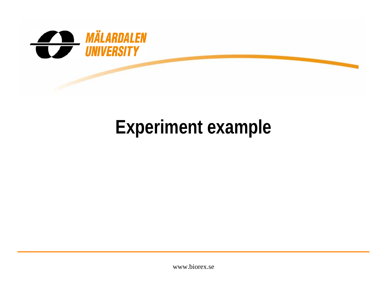

# **Experiment example**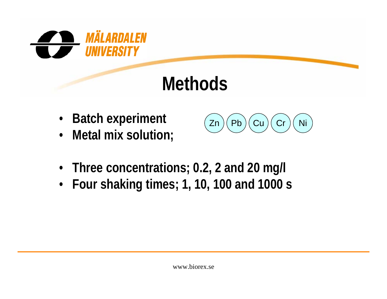

# **Methods**

- •**Batch experiment**
- **Metal mix solution;**



- **Three concentrations; 0.2, 2 and 20 mg/l**
- **Four shaking times; 1, 10, 100 and 1000 s**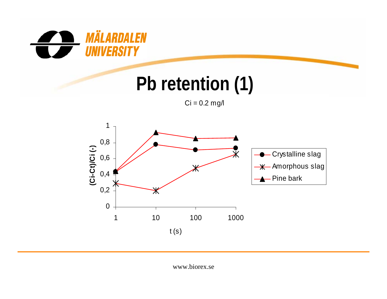

# **Pb retention (1)**

 $Ci = 0.2$  mg/l

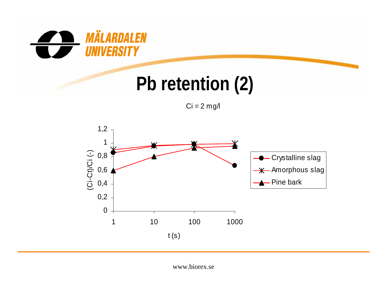

# **Pb retention (2)**

 $Ci = 2$  mg/l

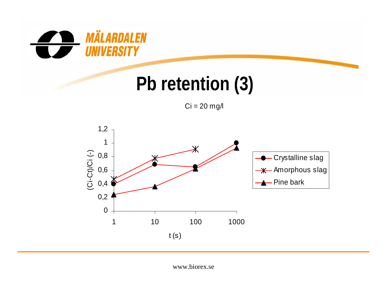

# **Pb retention (3)**

 $Ci = 20$  mg/l

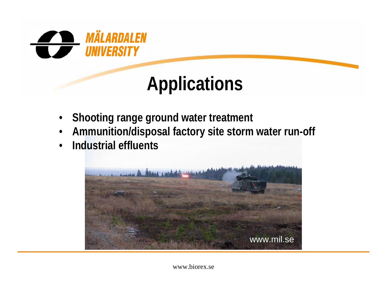

# **Applications**

- •**Shooting range ground water treatment**
- •**Ammunition/disposal factory site storm water run-off**
- •**Industrial effluents**

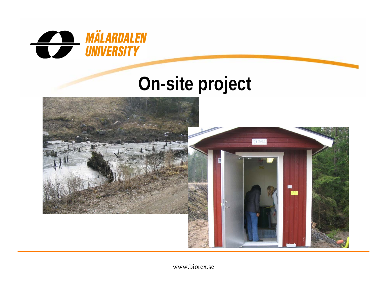

#### **On-site project**

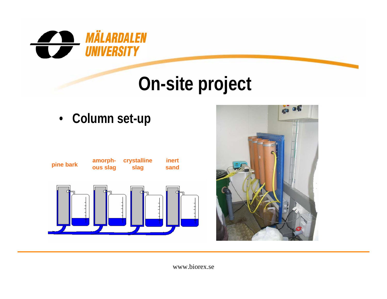

# **On-site project**

• **Column set-up**



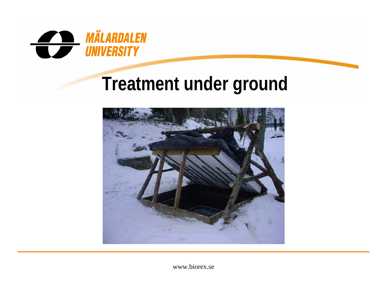

## **Treatment under ground**

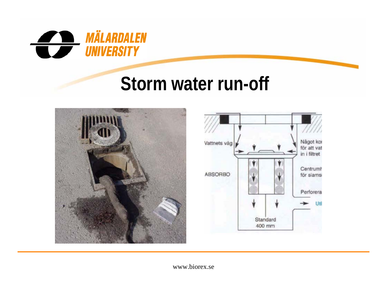

#### **Storm water run-off**



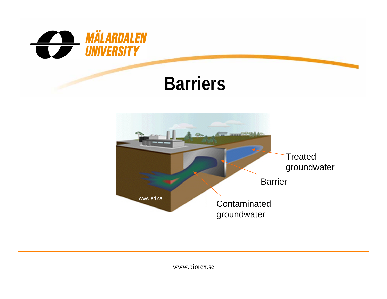

#### **Barriers**

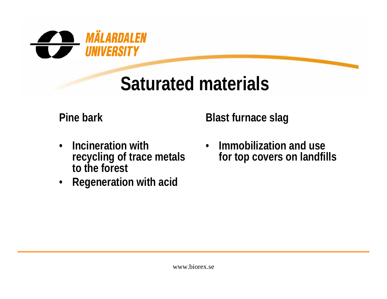

# **Saturated materials**

**Pine bark**

**Blast furnace slag**

- • **Incineration with recycling of trace metals to the forest**
- **Regeneration with acid**

 $\bullet$  **Immobilization and use for top covers on landfills**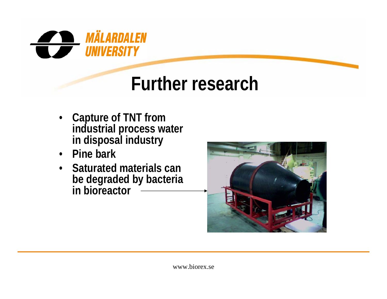

## **Further research**

- **Capture of TNT from industrial process water in disposal industry**
- **Pine bark**
- **Saturated materials can be degraded by bacteria in bioreactor**